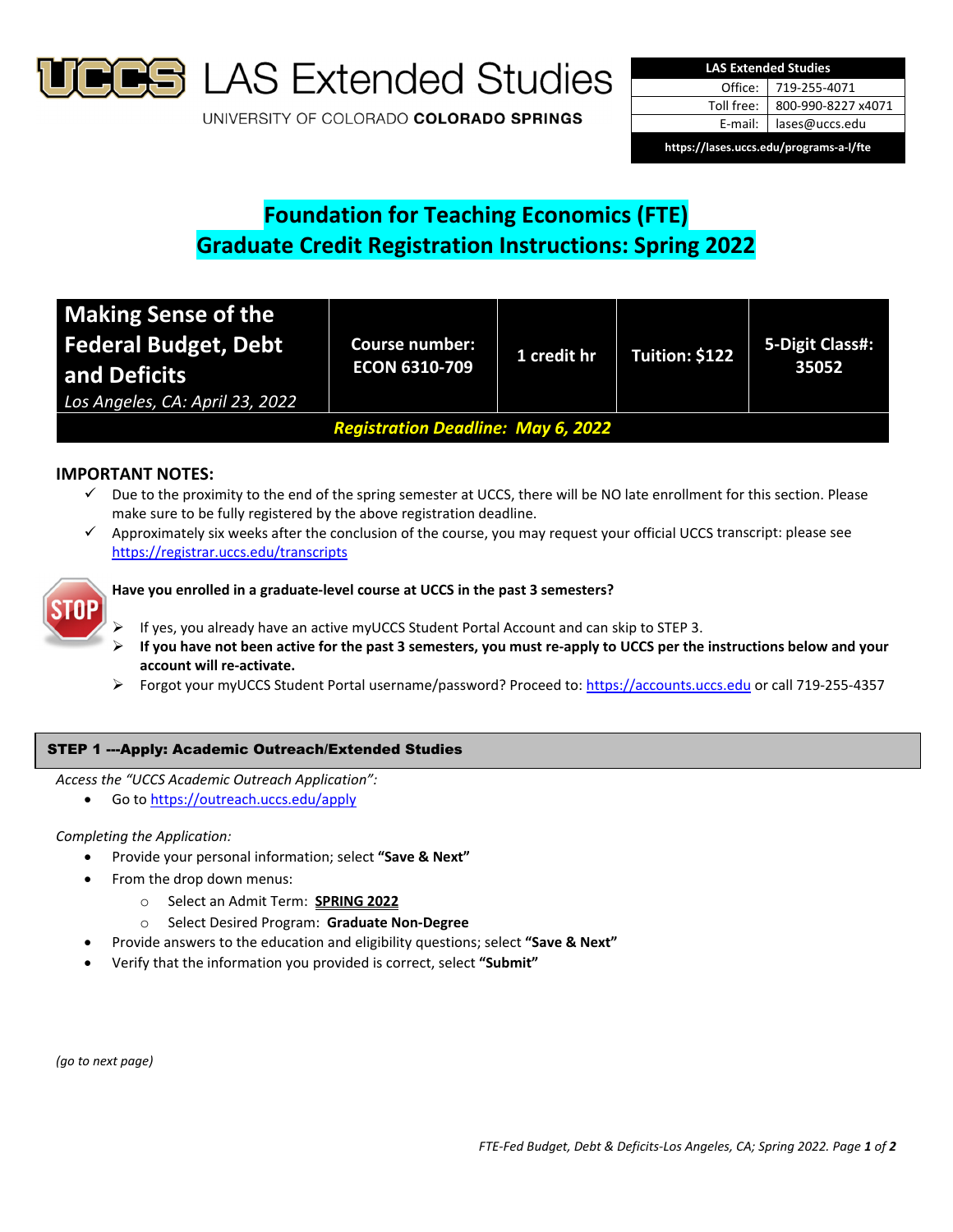

**S** LAS Extended Studies

UNIVERSITY OF COLORADO COLORADO SPRINGS

| <b>LAS Extended Studies</b>             |                    |  |  |  |
|-----------------------------------------|--------------------|--|--|--|
| Office:                                 | 719-255-4071       |  |  |  |
| Toll free:                              | 800-990-8227 x4071 |  |  |  |
| E-mail:                                 | lases@uccs.edu     |  |  |  |
| https://lases.uccs.edu/programs-a-l/fte |                    |  |  |  |

# **Foundation for Teaching Economics (FTE) Graduate Credit Registration Instructions: Spring 2022**

| Making Sense of the<br><b>Federal Budget, Debt</b><br>and Deficits<br>Los Angeles, CA: April 23, 2022 | <b>Course number:</b><br><b>ECON 6310-709</b> | 1 credit hr | Tuition: \$122 | 5-Digit Class#:<br>35052 |  |
|-------------------------------------------------------------------------------------------------------|-----------------------------------------------|-------------|----------------|--------------------------|--|
| <b>Registration Deadline: May 6, 2022</b>                                                             |                                               |             |                |                          |  |

# **IMPORTANT NOTES:**

- $\checkmark$  Due to the proximity to the end of the spring semester at UCCS, there will be NO late enrollment for this section. Please make sure to be fully registered by the above registration deadline.
- $\checkmark$  Approximately six weeks after the conclusion of the course, you may request your official UCCS transcript: please see https://registrar.uccs.edu/transcripts



## **Have you enrolled in a graduate‐level course at UCCS in the past 3 semesters?**

- If yes, you already have an active myUCCS Student Portal Account and can skip to STEP 3.
- If you have not been active for the past 3 semesters, you must re-apply to UCCS per the instructions below and your **account will re‐activate.**
- Forgot your myUCCS Student Portal username/password? Proceed to: https://accounts.uccs.edu or call 719‐255‐4357

## STEP 1 ---Apply: Academic Outreach/Extended Studies

*Access the "UCCS Academic Outreach Application":*

Go to https://outreach.uccs.edu/apply

## *Completing the Application:*

- Provide your personal information; select **"Save & Next"**
- From the drop down menus:
	- o Select an Admit Term: **SPRING 2022**
	- o Select Desired Program: **Graduate Non‐Degree**
	- Provide answers to the education and eligibility questions; select **"Save & Next"**
- Verify that the information you provided is correct, select **"Submit"**

*(go to next page)*